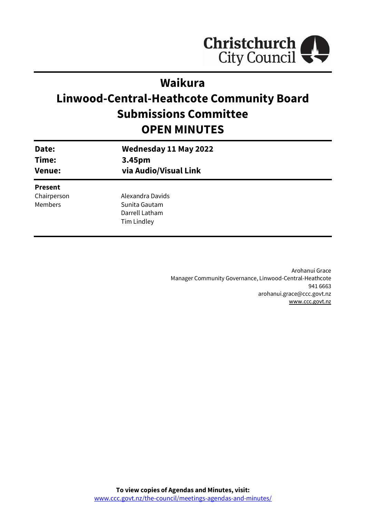

# **Waikura**

# **Linwood-Central-Heathcote Community Board Submissions Committee OPEN MINUTES**

| Date:<br>Time:<br><b>Venue:</b> | <b>Wednesday 11 May 2022</b><br>3.45pm<br>via Audio/Visual Link |  |
|---------------------------------|-----------------------------------------------------------------|--|
| <b>Present</b>                  |                                                                 |  |
| Chairperson                     | Alexandra Davids                                                |  |
| <b>Members</b>                  | Sunita Gautam                                                   |  |
|                                 | Darrell Latham                                                  |  |
|                                 | Tim Lindley                                                     |  |
|                                 |                                                                 |  |

Arohanui Grace Manager Community Governance, Linwood-Central-Heathcote 941 6663 arohanui.grace@ccc.govt.nz [www.ccc.govt.nz](http://www.ccc.govt.nz/)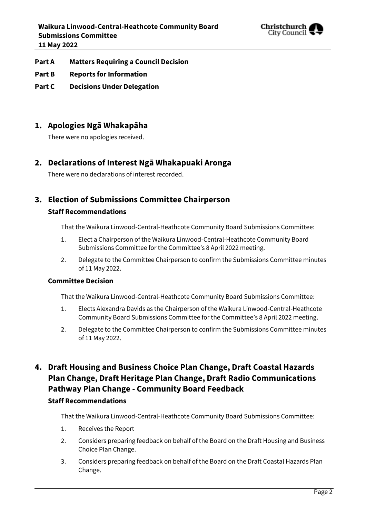

- **Part A Matters Requiring a Council Decision**
- **Part B Reports for Information**
- **Part C Decisions Under Delegation**

## **1. Apologies Ngā Whakapāha**

There were no apologies received.

## **2. Declarations of Interest Ngā Whakapuaki Aronga**

There were no declarations of interest recorded.

# **3. Election of Submissions Committee Chairperson**

### **Staff Recommendations**

That the Waikura Linwood-Central-Heathcote Community Board Submissions Committee:

- 1. Elect a Chairperson of the Waikura Linwood-Central-Heathcote Community Board Submissions Committee for the Committee's 8 April 2022 meeting.
- 2. Delegate to the Committee Chairperson to confirm the Submissions Committee minutes of 11 May 2022.

### **Committee Decision**

That the Waikura Linwood-Central-Heathcote Community Board Submissions Committee:

- 1. Elects Alexandra Davids as the Chairperson of the Waikura Linwood-Central-Heathcote Community Board Submissions Committee for the Committee's 8 April 2022 meeting.
- 2. Delegate to the Committee Chairperson to confirm the Submissions Committee minutes of 11 May 2022.

# **4. Draft Housing and Business Choice Plan Change, Draft Coastal Hazards Plan Change, Draft Heritage Plan Change, Draft Radio Communications Pathway Plan Change - Community Board Feedback**

## **Staff Recommendations**

That the Waikura Linwood-Central-Heathcote Community Board Submissions Committee:

- 1. Receives the Report
- 2. Considers preparing feedback on behalf of the Board on the Draft Housing and Business Choice Plan Change.
- 3. Considers preparing feedback on behalf of the Board on the Draft Coastal Hazards Plan Change.